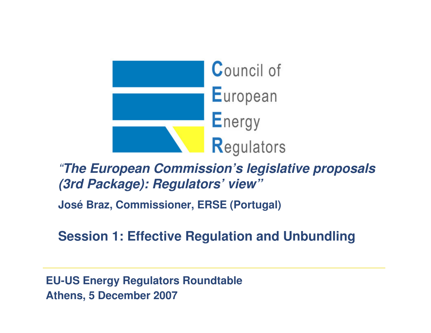

"**The European Commission's legislative proposals (3rd Package): Regulators' view"**

**José Braz, Commissioner, ERSE (Portugal)** 

**Session 1: Effective Regulation and Unbundling**

**EU-US Energy Regulators Roundtable Athens, 5 December 2007**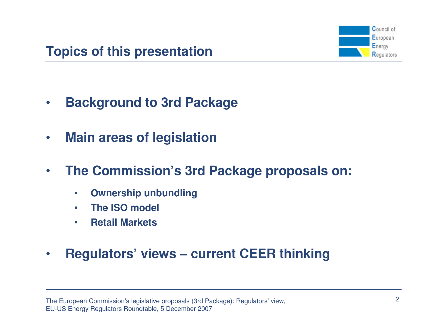

- $\bullet$ **Background to 3rd Package**
- $\bullet$ **Main areas of legislation**
- $\bullet$  **The Commission's 3rd Package proposals on:**
	- $\bullet$ **Ownership unbundling**
	- $\bullet$ **The ISO model**
	- $\bullet$ **Retail Markets**
- $\bullet$ **Regulators' views – current CEER thinking**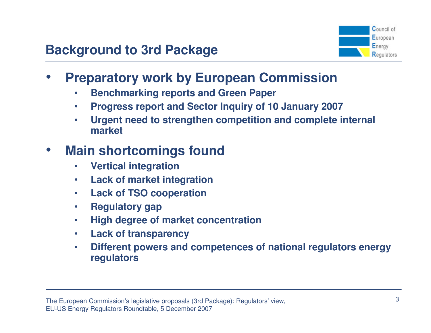

- • **Preparatory work by European Commission**
	- •**Benchmarking reports and Green Paper**
	- $\bullet$ **Progress report and Sector Inquiry of 10 January 2007**
	- **Urgent need to strengthen competition and complete internal**  •**market**

### $\bullet$ **Main shortcomings found**

- •**Vertical integration**
- **Lack of market integration** $\bullet$
- **Lack of TSO cooperation** $\bullet$
- $\bullet$ **Regulatory gap**
- **High degree of market concentration**•
- •**Lack of transparency**
- **Different powers and competences of national regulators energy**   $\bullet$ **regulators**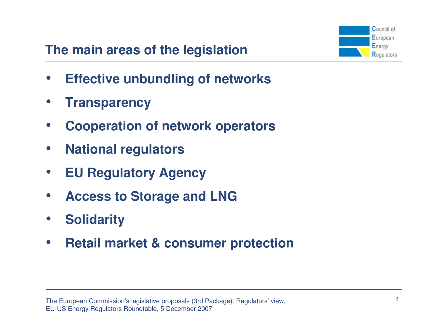# **The main areas of the legislation**



- $\bullet$ **Effective unbundling of networks**
- $\bullet$ **Transparency**
- •**Cooperation of network operators**
- $\bullet$ **National regulators**
- $\bullet$ **EU Regulatory Agency**
- $\bullet$ **Access to Storage and LNG**
- $\bullet$ **Solidarity**
- $\bullet$ **Retail market & consumer protection**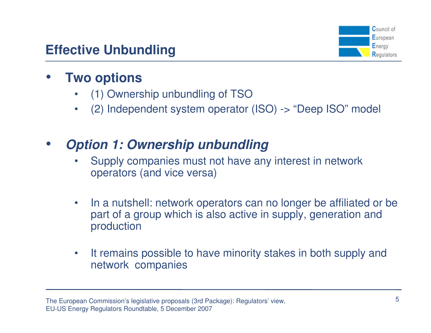

### •**Two options**

- (1) Ownership unbundling of TSO•
- (2) Independent system operator (ISO) -> "Deep ISO" model  $\bullet$

## •**Option 1: Ownership unbundling**

- Supply companies must not have any interest in network •operators (and vice versa)
- $\bullet$  In a nutshell: network operators can no longer be affiliated or be part of a group which is also active in supply, generation and production
- $\bullet$  It remains possible to have minority stakes in both supply and network companies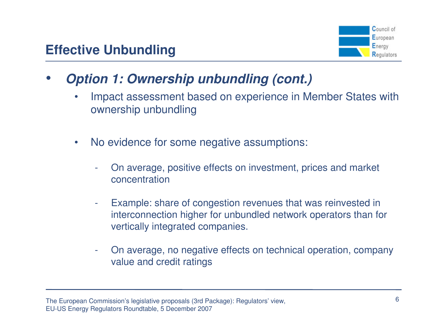

- • **Option 1: Ownership unbundling (cont.)**
	- • Impact assessment based on experience in Member States with ownership unbundling
	- $\bullet$  No evidence for some negative assumptions:
		- On average, positive effects on investment, prices and market concentration
		- - Example: share of congestion revenues that was reinvested in interconnection higher for unbundled network operators than for vertically integrated companies.
		- On average, no negative effects on technical operation, company value and credit ratings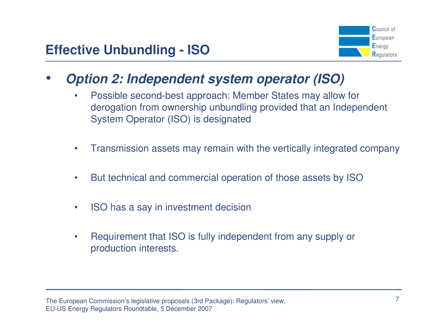

- • **Option 2: Independent system operator (ISO)**
	- • Possible second-best approach: Member States may allow for derogation from ownership unbundling provided that an Independent System Operator (ISO) is designated
	- •Transmission assets may remain with the vertically integrated company
	- •But technical and commercial operation of those assets by ISO
	- •ISO has a say in investment decision
	- • Requirement that ISO is fully independent from any supply or production interests.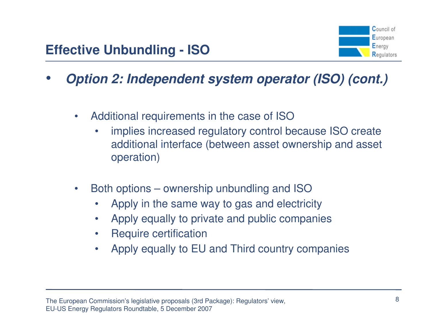

- • **Option 2: Independent system operator (ISO) (cont.)**
	- • Additional requirements in the case of ISO
		- implies increased regulatory control because ISO create •additional interface (between asset ownership and asset operation)
	- • Both options – ownership unbundling and ISO
		- Apply in the same way to gas and electricity•
		- •Apply equally to private and public companies
		- $\bullet$ Require certification
		- Apply equally to EU and Third country companies $\bullet$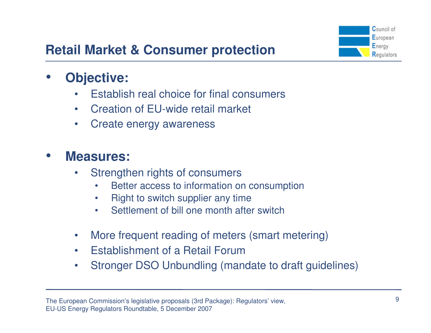

# **Retail Market & Consumer protection**

#### •**Objective:**

- •Establish real choice for final consumers
- $\bullet$ Creation of EU-wide retail market
- •Create energy awareness

#### $\bullet$ **Measures:**

- • Strengthen rights of consumers
	- Better access to information on consumption•
	- •Right to switch supplier any time
	- Settlement of bill one month after switch•
- $\bullet$ More frequent reading of meters (smart metering)
- •Establishment of a Retail Forum
- Stronger DSO Unbundling (mandate to draft guidelines) $\bullet$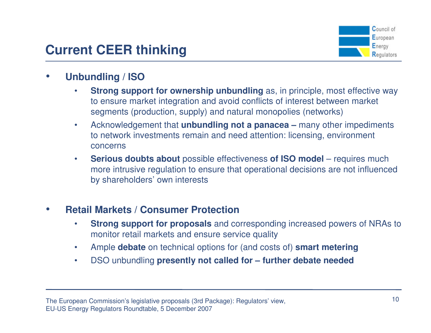## **Current CEER thinking**



#### •**Unbundling / ISO**

- **Strong support for ownership unbundling** as, in principle, most effective way •to ensure market integration and avoid conflicts of interest between market segments (production, supply) and natural monopolies (networks)
- • Acknowledgement that **unbundling not a panacea –** many other impediments to network investments remain and need attention: licensing, environment concerns
- • **Serious doubts about** possible effectiveness **of ISO model** – requires much more intrusive regulation to ensure that operational decisions are not influenced by shareholders' own interests

#### •**Retail Markets / Consumer Protection**

- • **Strong support for proposals** and corresponding increased powers of NRAs to monitor retail markets and ensure service quality
- $\bullet$ Ample **debate** on technical options for (and costs of) **smart metering**
- $\bullet$ DSO unbundling **presently not called for – further debate needed**